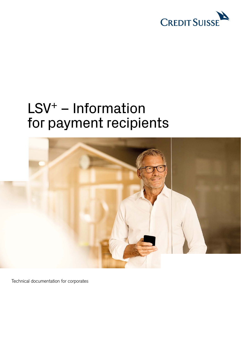

# LSV+ – Information for payment recipients



Technical documentation for corporates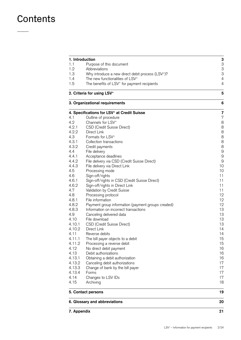## **Contents**

| 1. Introduction |                                                                                             |  |
|-----------------|---------------------------------------------------------------------------------------------|--|
| 1.1             | Purpose of this document                                                                    |  |
| 1.2             | Abbreviations                                                                               |  |
| 1.3             | Why introduce a new direct debit process (LSV <sup>+</sup> )?                               |  |
| 1.4             | The new functionalities of LSV <sup>+</sup>                                                 |  |
| 1.5             | The benefits of LSV <sup>+</sup> for payment recipients                                     |  |
|                 | 2. Criteria for using LSV <sup>+</sup>                                                      |  |
|                 | 3. Organizational requirements                                                              |  |
|                 | 4. Specifications for LSV <sup>+</sup> at Credit Suisse                                     |  |
| 4.1             | Outline of procedure                                                                        |  |
| 4.2             | Channels for LSV <sup>+</sup>                                                               |  |
| 4.2.1           | CSD (Credit Suisse Direct)                                                                  |  |
| 4.2.2           | Direct Link                                                                                 |  |
| 4.3             | Formats for LSV <sup>+</sup>                                                                |  |
| 4.3.1           | Collection transactions                                                                     |  |
| 4.3.2           | Credit payments                                                                             |  |
| 4.4             | File delivery                                                                               |  |
| 4.4.1           | Acceptance deadlines                                                                        |  |
| 4.4.2           | File delivery via CSD (Credit Suisse Direct)                                                |  |
| 4.4.3           | File delivery via Direct Link                                                               |  |
| 4.5             | Processing mode                                                                             |  |
| 4.6             | Sign-off/rights                                                                             |  |
| 4.6.1           | Sign-off/rights in CSD (Credit Suisse Direct)                                               |  |
| 4.6.2           | Sign-off/rights in Direct Link                                                              |  |
| 4.7             | Validation by Credit Suisse                                                                 |  |
| 4.8             | Processing protocol                                                                         |  |
| 4.8.1<br>4.8.2  | File information                                                                            |  |
| 4.8.3           | Payment group information (payment groups created)<br>Information on incorrect transactions |  |
| 4.9             |                                                                                             |  |
| 4.10            | Canceling delivered data<br>File download                                                   |  |
| 4.10.1          | <b>CSD (Credit Suisse Direct)</b>                                                           |  |
| 4.10.2          | Direct Link                                                                                 |  |
| 4.11            | Reverse debits                                                                              |  |
| 4.11.1          | The bill payer objects to a debit                                                           |  |
| 4.11.2          | Processing a reverse debit                                                                  |  |
| 4.12            | No direct debit payment                                                                     |  |
| 4.13            | Debit authorizations                                                                        |  |
| 4.13.1          | Obtaining a debit authorization                                                             |  |
| 4.13.2          | Canceling debit authorizations                                                              |  |
| 4.13.3          | Change of bank by the bill payer                                                            |  |
| 4.13.4          | Forms                                                                                       |  |
| 4.14            | Changes to LSV IDs                                                                          |  |
| 4.15            | Archiving                                                                                   |  |
|                 | 5. Contact persons                                                                          |  |
|                 | 6. Glossary and abbreviations                                                               |  |
| 7. Appendix     |                                                                                             |  |
|                 |                                                                                             |  |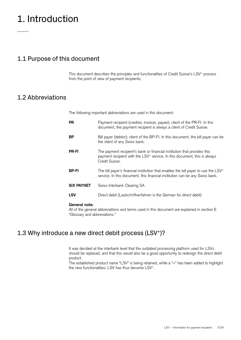## <span id="page-2-0"></span>1. Introduction

## 1.1 Purpose of this document

This document describes the principles and functionalities of Credit Suisse's LSV<sup>+</sup> process from the point of view of payment recipients.

### 1.2 Abbreviations

The following important abbreviations are used in this document:

| <b>PR</b>         | Payment recipient (creditor, invoicer, payee); client of the PR-FI. In this<br>document, the payment recipient is always a client of Credit Suisse.                                 |
|-------------------|-------------------------------------------------------------------------------------------------------------------------------------------------------------------------------------|
| ВP                | Bill payer (debtor); client of the BP-FI. In this document, the bill payer can be<br>the client of any Swiss bank.                                                                  |
| <b>PR-FI</b>      | The payment recipient's bank or financial institution that provides this<br>payment recipient with the LSV <sup>+</sup> service. In this document, this is always<br>Credit Suisse. |
| <b>BP-FI</b>      | The bill payer's financial institution that enables the bill payer to use the LSV <sup>+</sup><br>service. In this document, this financial institution can be any Swiss bank.      |
| <b>SIX PAYNET</b> | Swiss Interbank Clearing SA                                                                                                                                                         |
| <b>LSV</b>        | Direct debit (Lastschriftverfahren is the German for direct debit)                                                                                                                  |
|                   |                                                                                                                                                                                     |

#### **General note:**

All of the general abbreviations and terms used in this document are explained in section 6 "Glossary and abbreviations."

## 1.3 Why introduce a new direct debit process (LSV<sup>+</sup>)?

It was decided at the interbank level that the outdated processing platform used for LSVs should be replaced, and that this would also be a good opportunity to redesign the direct debit product.

The established product name "LSV" is being retained, while a "+" has been added to highlight the new functionalities: LSV has thus become LSV+.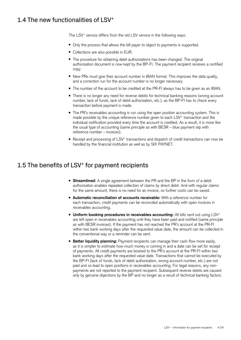## <span id="page-3-0"></span>1.4 The new functionalities of LSV+

The LSV<sup>+</sup> service differs from the old LSV service in the following ways:

- Only the process that allows the bill payer to object to payments is supported.
- Collections are also possible in EUR.
- The procedure for obtaining debit authorizations has been changed. The original authorization document is now kept by the BP-FI. The payment recipient receives a certified copy.
- New PRs must give their account number in IBAN format. This improves the data quality, and a correction run for the account number is no longer necessary.
- The number of the account to be credited at the PR-FI always has to be given as an IBAN.
- There is no longer any need for reverse debits for technical banking reasons (wrong account number, lack of funds, lack of debit authorization, etc.), as the BP-FI has to check every transaction before payment is made.
- The PR's receivables accounting is run using the open position accounting system. This is made possible by the unique reference number given to each  $LSV<sup>+</sup>$  transaction and the individual notification provided every time the account is credited. As a result, it is more like the usual type of accounting (same principle as with BESR – blue payment slip with reference number – invoices).
- Receipt and processing of LSV<sup>+</sup> transactions and dispatch of credit transactions can now be handled by the financial institution as well as by SIX PAYNET.

## 1.5 The benefits of LSV+ for payment recipients

- **Streamlined:** A single agreement between the PR and the BP in the form of a debit authorization enables repeated collection of claims by direct debit. And with regular claims for the same amount, there is no need for an invoice, so further costs can be saved.
- **Automatic reconciliation of accounts receivable:** With a reference number for each transaction, credit payments can be reconciled automatically with open invoices in receivables accounting.
- **Uniform booking procedures in receivables accounting:** All bills sent out using LSV<sup>+</sup> are left open in receivables accounting until they have been paid and notified (same principle as with BESR invoices). If the payment has not reached the PR's account at the PR-FI within two bank working days after the requested value date, the amount can be collected in the conventional way or a reminder can be sent.
- **Better liquidity planning:** Payment recipients can manage their cash flow more easily, as it is simpler to estimate how much money is coming in and a date can be set for receipt of payments. All credit payments are booked to the PR's account at the PR-FI within two bank working days after the requested value date. Transactions that cannot be executed by the BP-FI (lack of funds, lack of debit authorization, wrong account number, etc.) are not paid and so lead to open positions in receivables accounting. For legal reasons, any nonpayments are not reported to the payment recipient. Subsequent reverse debits are caused only by genuine objections by the BP and no longer as a result of technical banking factors.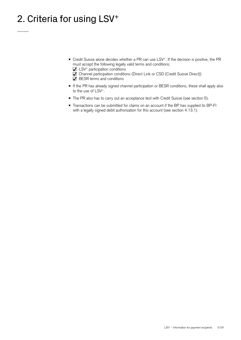## <span id="page-4-0"></span>2. Criteria for using LSV<sup>+</sup>

- Credit Suisse alone decides whether a PR can use LSV<sup>+</sup>. If the decision is positive, the PR must accept the following legally valid terms and conditions:
	- $\blacksquare$  LSV<sup>+</sup> participation conditions
	- Channel participation conditions (Direct Link or CSD (Credit Suisse Direct))  $\boxtimes$  BESR terms and conditions
- If the PR has already signed channel participation or BESR conditions, these shall apply also to the use of LSV+.
- The PR also has to carry out an acceptance test with Credit Suisse (see section 5).
- Transactions can be submitted for claims on an account if the BP has supplied its BP-FI with a legally signed debit authorization for this account (see section 4.13.1).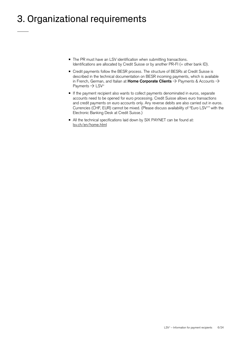## <span id="page-5-0"></span>3. Organizational requirements

- The PR must have an LSV identification when submitting transactions. Identifications are allocated by Credit Suisse or by another PR-FI (= other bank ID).
- Credit payments follow the BESR process. The structure of BESRs at Credit Suisse is described in the technical documentation on BESR incoming payments, which is available in French, German, and Italian at Home Corporate Clients  $\rightarrow$  Payments & Accounts  $\rightarrow$ Payments  $\rightarrow$  LSV<sup>+</sup>
- If the payment recipient also wants to collect payments denominated in euros, separate accounts need to be opened for euro processing. Credit Suisse allows euro transactions and credit payments on euro accounts only. Any reverse debits are also carried out in euros. Currencies (CHF, EUR) cannot be mixed. (Please discuss availability of "Euro LSV+" with the Electronic Banking Desk at Credit Suisse.)
- All the technical specifications laid down by SIX PAYNET can be found at: [lsv.ch/en/home.html](http://www.lsv.ch/en/home.html)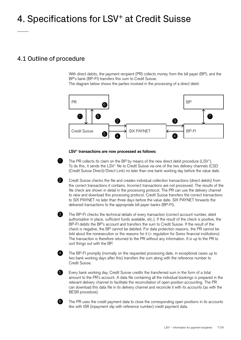## <span id="page-6-0"></span>4. Specifications for LSV+ at Credit Suisse

## 4.1 Outline of procedure

With direct debits, the payment recipient (PR) collects money from the bill payer (BP), and the BP's bank (BP-FI) transfers this sum to Credit Suisse.

The diagram below shows the parties involved in the processing of a direct debit:



#### **LSV+ transactions are now processed as follows:**



2

8

4

6

The PR collects its claim on the BP by means of the new direct debit procedure (LSV<sup>+</sup>). To do this, it sends the LSV+ file to Credit Suisse via one of the two delivery channels (CSD (Credit Suisse Direct)/Direct Link) no later than one bank working day before the value date.

Credit Suisse checks the file and creates individual collection transactions (direct debits) from the correct transactions it contains. Incorrect transactions are not processed. The results of the file check are shown in detail in the processing protocol. The PR can use the delivery channel to view and download this processing protocol. Credit Suisse transfers the correct transactions to SIX PAYNET no later than three days before the value date. SIX PAYNET forwards the delivered transactions to the appropriate bill payer banks (BP-FI).

The BP-FI checks the technical details of every transaction (correct account number, debit authorization in place, sufficient funds available, etc.). If the result of the check is positive, the BP-FI debits the BP's account and transfers the sum to Credit Suisse. If the result of the check is negative, the BP cannot be debited. For data protection reasons, the PR cannot be told about the nonexecution or the reasons for it (= regulation for Swiss financial institutions). The transaction is therefore returned to the PR without any information. It is up to the PR to sort things out with the BP.

The BP-FI promptly (normally on the requested processing date, in exceptional cases up to two bank working days after this) transfers the sum along with the reference number to Credit Suisse.

Every bank working day, Credit Suisse credits the transferred sum in the form of a total amount to the PR's account. A data file containing all the individual bookings is prepared in the relevant delivery channel to facilitate the reconciliation of open position accounting. The PR can download this data file in its delivery channel and reconcile it with its accounts (as with the BESR procedure).



The PR uses the credit payment data to close the corresponding open positions in its accounts like with ISR (inpayment slip with reference number) credit payment data.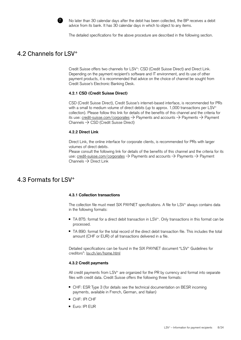

No later than 30 calendar days after the debit has been collected, the BP receives a debit advice from its bank. It has 30 calendar days in which to object to any items.

The detailed specifications for the above procedure are described in the following section.

### <span id="page-7-0"></span>4.2 Channels for LSV+

Credit Suisse offers two channels for LSV+: CSD (Credit Suisse Direct) and Direct Link. Depending on the payment recipient's software and IT environment, and its use of other payment products, it is recommended that advice on the choice of channel be sought from Credit Suisse's Electronic Banking Desk.

#### **4.2.1 CSD (Credit Suisse Direct)**

CSD (Credit Suisse Direct), Credit Suisse's internet-based interface, is recommended for PRs with a small to medium volume of direct debits (up to approx. 1,000 transactions per LSV<sup>+</sup> collection). Please follow this link for details of the benefits of this channel and the criteria for its use: [credit-suisse.com/corporates](https://www.credit-suisse.com/ch/en/unternehmen/unternehmen-unternehmer/kmugrossunternehmen.html)  $\rightarrow$  Payments and accounts  $\rightarrow$  Payments  $\rightarrow$  Payment Channels  $\rightarrow$  CSD (Credit Suisse Direct)

#### **4.2.2 Direct Link**

Direct Link, the online interface for corporate clients, is recommended for PRs with larger volumes of direct debits.

Please consult the following link for details of the benefits of this channel and the criteria for its use: [credit-suisse.com/corporates](https://www.credit-suisse.com/ch/en/unternehmen/unternehmen-unternehmer/kmugrossunternehmen.html)  $\rightarrow$  Payments and accounts  $\rightarrow$  Payments  $\rightarrow$  Payment Channels  $\rightarrow$  Direct Link

### 4.3 Formats for LSV+

#### **4.3.1 Collection transactions**

The collection file must meet SIX PAYNET specifications. A file for LSV<sup>+</sup> always contains data in the following formats:

- TA 875: format for a direct debit transaction in LSV<sup>+</sup>. Only transactions in this format can be processed.
- TA 890: format for the total record of the direct debit transaction file. This includes the total amount (CHF or EUR) of all transactions delivered in a file.

Detailed specifications can be found in the SIX PAYNET document "LSV+ Guidelines for creditors": [lsv.ch/en/home.html](http://www.lsv.ch/en/home.html)

#### **4.3.2 Credit payments**

All credit payments from LSV<sup>+</sup> are organized for the PR by currency and format into separate files with credit data. Credit Suisse offers the following three formats:

- CHF: ESR Type 3 (for details see the technical documentation on BESR incoming payments, available in French, German, and Italian)
- CHF: IPI CHF
- Euro: IPI EUR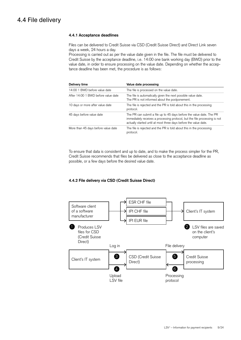## <span id="page-8-0"></span>4.4 File delivery

#### **4.4.1 Acceptance deadlines**

Files can be delivered to Credit Suisse via CSD (Credit Suisse Direct) and Direct Link seven days a week, 24 hours a day.

Processing is carried out as per the value date given in the file. The file must be delivered to Credit Suisse by the acceptance deadline, i.e. 14:00 one bank working day (BWD) prior to the value date, in order to ensure processing on the value date. Depending on whether the acceptance deadline has been met, the procedure is as follows:

| Delivery time                       | Value date processing                                                                                                                                                                                                  |
|-------------------------------------|------------------------------------------------------------------------------------------------------------------------------------------------------------------------------------------------------------------------|
| 14:00 1 BWD before value date       | The file is processed on the value date.                                                                                                                                                                               |
| After 14:00 1 BWD before value date | The file is automatically given the next possible value date.<br>The PR is not informed about the postponement.                                                                                                        |
| 10 days or more after value date    | The file is rejected and the PR is told about this in the processing<br>protocol.                                                                                                                                      |
| 45 days before value date           | The PR can submit a file up to 45 days before the value date. The PR<br>immediately receives a processing protocol, but the file processing is not<br>actually started until at most three days before the value date. |
| More than 45 days before value date | The file is rejected and the PR is told about this in the processing<br>protocol.                                                                                                                                      |

To ensure that data is consistent and up to date, and to make the process simpler for the PR, Credit Suisse recommends that files be delivered as close to the acceptance deadline as possible, or a few days before the desired value date.

#### **4.4.2 File delivery via CSD (Credit Suisse Direct)**

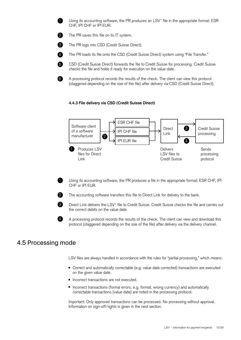<span id="page-9-0"></span>1

Using its accounting software, the PR produces an LSV<sup>+</sup> file in the appropriate format: ESR CHF, IPI CHF or IPI EUR.

 $\Omega$ 

The PR saves this file on its IT system.



6

6

The PR logs into CSD (Credit Suisse Direct).



The PR loads its file onto the CSD (Credit Suisse Direct) system using "File Transfer."

CSD (Credit Suisse Direct) forwards the file to Credit Suisse for processing. Credit Suisse checks the file and holds it ready for execution on the value date.

A processing protocol records the results of the check. The client can view this protocol (staggered depending on the size of the file) after delivery via CSD (Credit Suisse Direct).

#### **4.4.3 File delivery via CSD (Credit Suisse Direct)**



Using its accounting software, the PR produces a file in the appropriate format: ESR CHF, IPI CHF or IPI EUR.



The accounting software transfers this file to Direct Link for delivery to the bank.



4

Direct Link delivers the LSV+ file to Credit Suisse. Credit Suisse checks the file and carries out the correct debits on the value date.

A processing protocol records the results of the check. The client can view and download this protocol (staggered depending on the size of the file) after delivery via the delivery channel.

### 4.5 Processing mode

LSV files are always handled in accordance with the rules for "partial processing," which means:

- Correct and automatically correctable (e.g. value date corrected) transactions are executed on the given value date.
- Incorrect transactions are not executed.
- Incorrect transactions (formal errors, e.g. format, wrong currency) and automatically correctable transactions (value date) are noted in the processing protocol.

Important: Only approved transactions can be processed. No processing without approval. Information on sign-off/rights is given in the next section.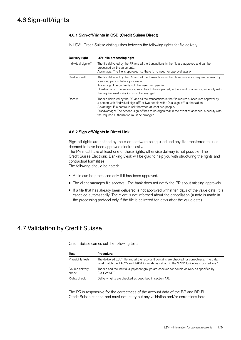## <span id="page-10-0"></span>4.6 Sign-off/rights

#### **4.6.1 Sign-off/rights in CSD (Credit Suisse Direct)**

In LSV<sup>+</sup>, Credit Suisse distinguishes between the following rights for file delivery.

| Delivery right      | LSV <sup>+</sup> file processing right                                                                                                                                                                                                                                                                                                                                                                      |
|---------------------|-------------------------------------------------------------------------------------------------------------------------------------------------------------------------------------------------------------------------------------------------------------------------------------------------------------------------------------------------------------------------------------------------------------|
| Individual sign-off | The file delivered by the PR and all the transactions in the file are approved and can be<br>processed on the value date.<br>Advantage: The file is approved, so there is no need for approval later on.                                                                                                                                                                                                    |
| Dual sign-off       | The file delivered by the PR and all the transactions in the file require a subsequent sign-off by<br>a second person before processing.<br>Advantage: File control is split between two people.<br>Disadvantage: The second-sign-off has to be organized; in the event of absence, a deputy with<br>the required nauthorization must be arranged.                                                          |
| Record              | The file delivered by the PR and all the transactions in the file require subsequent approval by<br>a person with "Individual sign-off" or two people with "Dual sign-off" authorization.<br>Advantage: File control is split between at least two people.<br>Disadvantage: The second-sign-off has to be organized; in the event of absence, a deputy with<br>the required authorization must be arranged. |

#### **4.6.2 Sign-off/rights in Direct Link**

Sign-off rights are defined by the client software being used and any file transferred to us is deemed to have been approved electronically.

The PR must have at least one of these rights; otherwise delivery is not possible. The Credit Suisse Electronic Banking Desk will be glad to help you with structuring the rights and contractual formalities.

The following should be noted:

- A file can be processed only if it has been approved.
- The client manages file approval. The bank does not notify the PR about missing approvals.
- If a file that has already been delivered is not approved within ten days of the value date, it is canceled automatically. The client is not informed about the cancellation (a note is made in the processing protocol only if the file is delivered ten days after the value date).

### 4.7 Validation by Credit Suisse

Credit Suisse carries out the following tests:

| Test                     | Procedure                                                                                                                                                                                              |
|--------------------------|--------------------------------------------------------------------------------------------------------------------------------------------------------------------------------------------------------|
| Plausibility tests       | The delivered LSV <sup>+</sup> file and all the records it contains are checked for correctness. The data<br>must match the TA875 and TA890 formats as set out in the "LSV+ Guidelines for creditors." |
| Double delivery<br>check | The file and the individual payment groups are checked for double delivery as specified by<br>SIX PAYNET.                                                                                              |
| Rights check             | Delivery rights are checked as described in section 4.6.                                                                                                                                               |

The PR is responsible for the correctness of the account data of the BP and BP-FI. Credit Suisse cannot, and must not, carry out any validation and/or corrections here.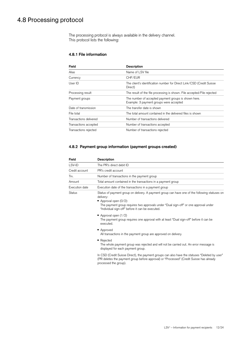## <span id="page-11-0"></span>4.8 Processing protocol

The processing protocol is always available in the delivery channel. This protocol lists the following:

#### **4.8.1 File information**

| <b>Field</b>           | <b>Description</b>                                                                              |
|------------------------|-------------------------------------------------------------------------------------------------|
| <b>Alias</b>           | Name of LSV file                                                                                |
| Currency               | CHF/EUR                                                                                         |
| UserID                 | The client's identification number for Direct Link/CSD (Credit Suisse<br>Direct)                |
| Processing result      | The result of the file processing is shown. File accepted/File rejected                         |
| Payment groups         | The number of accepted payment groups is shown here.<br>Example: 3 payment groups were accepted |
| Date of transmission   | The transfer date is shown                                                                      |
| File total             | The total amount contained in the delivered files is shown                                      |
| Transactions delivered | Number of transactions delivered                                                                |
| Transactions accepted  | Number of transactions accepted                                                                 |
| Transactions rejected  | Number of transactions rejected                                                                 |

#### **4.8.2 Payment group information (payment groups created)**

| Field          | <b>Description</b>                                                                                                                                                                                                                                                                 |
|----------------|------------------------------------------------------------------------------------------------------------------------------------------------------------------------------------------------------------------------------------------------------------------------------------|
| LSV-ID         | The PR's direct debit ID                                                                                                                                                                                                                                                           |
| Credit account | PR's credit account                                                                                                                                                                                                                                                                |
| Trx.           | Number of transactions in the payment group                                                                                                                                                                                                                                        |
| Amount         | Total amount contained in the transactions in a payment group                                                                                                                                                                                                                      |
| Execution date | Execution date of the transactions in a payment group                                                                                                                                                                                                                              |
| <b>Status</b>  | Status of payment group on delivery. A payment group can have one of the following statuses on<br>delivery:<br>Approval open $(0/2)$ :<br>The payment group requires two approvals under "Dual sign-off" or one approval under<br>"Individual sign-off" before it can be executed. |
|                | $\blacksquare$ Approval open (1/2)<br>The payment group requires one approval with at least "Dual sign-off" before it can be<br>executed.                                                                                                                                          |
|                | ■ Approved<br>All transactions in the payment group are approved on delivery.                                                                                                                                                                                                      |
|                | ■ Rejected<br>The whole payment group was rejected and will not be carried out. An error message is<br>displayed for each payment group.                                                                                                                                           |
|                | In CSD (Credit Suisse Direct), the payment groups can also have the statuses "Deleted by user"<br>(PR deletes the payment group before approval) or "Processed" (Credit Suisse has already<br>processed the group).                                                                |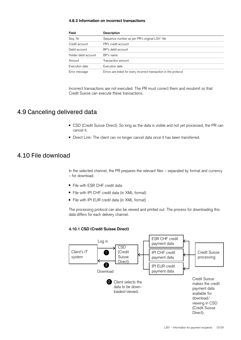#### <span id="page-12-0"></span>**4.8.3 Information on incorrect transactions**

| Field                | <b>Description</b>                                                |
|----------------------|-------------------------------------------------------------------|
| Seq. Nr              | Sequence number as per PR's original LSV <sup>+</sup> file        |
| Credit account       | PR's credit account                                               |
| Debit account        | BP's debit account                                                |
| Holder debit account | BP's name                                                         |
| Amount               | Transaction amount                                                |
| Execution date       | Execution date                                                    |
| Error message        | Errors are listed for every incorrect transaction in the protocol |

Incorrect transactions are not executed. The PR must correct them and resubmit so that Credit Suisse can execute these transactions.

## 4.9 Canceling delivered data

- CSD (Credit Suisse Direct): So long as the data is visible and not yet processed, the PR can cancel it.
- Direct Link: The client can no longer cancel data once it has been transferred.

## 4.10 File download

In the selected channel, the PR prepares the relevant files – separated by format and currency – for download:

- File with ESR CHF credit data
- File with IPI CHF credit data (in XML format)
- File with IPI EUR credit data (in XML format)

The processing protocol can also be viewed and printed out. The process for downloading this data differs for each delivery channel.

#### **4.10.1 CSD (Credit Suisse Direct)**

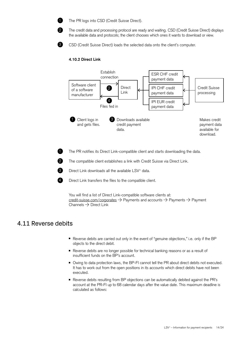<span id="page-13-0"></span>

0

The PR logs into CSD (Credit Suisse Direct).

The credit data and processing protocol are ready and waiting. CSD (Credit Suisse Direct) displays the available data and protocols; the client chooses which ones it wants to download or view.



1

2

3

4

CSD (Credit Suisse Direct) loads the selected data onto the client's computer.

#### **4.10.2 Direct Link**



The PR notifies its Direct Link-compatible client and starts downloading the data.

The compatible client establishes a link with Credit Suisse via Direct Link.



Direct Link transfers the files to the compatible client.

You will find a list of Direct Link-compatible software clients at: [credit-suisse.com/corporates](https://www.credit-suisse.com/ch/en/unternehmen/unternehmen-unternehmer/kmugrossunternehmen.html)  $\rightarrow$  Payments and accounts  $\rightarrow$  Payments  $\rightarrow$  Payment Channels  $\rightarrow$  Direct Link

### 4.11 Reverse debits

- Reverse debits are carried out only in the event of "genuine objections," i.e. only if the BP objects to the direct debit.
- Reverse debits are no longer possible for technical banking reasons or as a result of insufficient funds on the BP's account.
- Owing to data protection laws, the BP-FI cannot tell the PR about direct debits not executed. It has to work out from the open positions in its accounts which direct debits have not been executed.
- Reverse debits resulting from BP objections can be automatically debited against the PR's account at the PR-FI up to 68 calendar days after the value date. This maximum deadline is calculated as follows: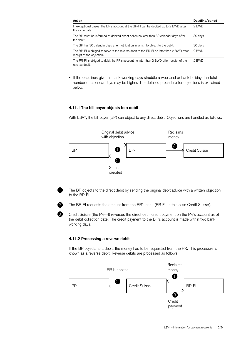<span id="page-14-0"></span>

| Action                                                                                                                | Deadline/period |
|-----------------------------------------------------------------------------------------------------------------------|-----------------|
| In exceptional cases, the BP's account at the BP-FI can be debited up to 2 BWD after<br>the value date.               | 2 BWD           |
| The BP must be informed of debited direct debits no later than 30 calendar days after<br>the debit.                   | 30 days         |
| The BP has 30 calendar days after notification in which to object to the debit.                                       | 30 days         |
| The BP-FI is obliged to forward the reverse debit to the PR-FI no later than 2 BWD after<br>receipt of the objection. | 2 BWD           |
| The PR-FI is obliged to debit the PR's account no later than 2 BWD after receipt of the<br>reverse debit.             | 2 BWD           |

■ If the deadlines given in bank working days straddle a weekend or bank holiday, the total number of calendar days may be higher. The detailed procedure for objections is explained below.

#### **4.11.1 The bill payer objects to a debit**

With LSV<sup>+</sup>, the bill payer (BP) can object to any direct debit. Objections are handled as follows:





The BP objects to the direct debit by sending the original debit advice with a written objection to the BP-FI.



8

The BP-FI requests the amount from the PR's bank (PR-FI, in this case Credit Suisse).

Credit Suisse (the PR-FI) reverses the direct debit credit payment on the PR's account as of the debit collection date. The credit payment to the BP's account is made within two bank working days.

#### **4.11.2 Processing a reverse debit**

If the BP objects to a debit, the money has to be requested from the PR. This procedure is known as a reverse debit. Reverse debits are processed as follows:

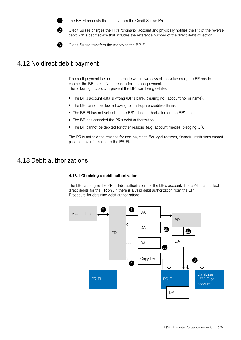<span id="page-15-0"></span>

The BP-FI requests the money from the Credit Suisse PR.



3

Credit Suisse charges the PR's "ordinario" account and physically notifies the PR of the reverse debit with a debit advice that includes the reference number of the direct debit collection.

Credit Suisse transfers the money to the BP-FI.

## 4.12 No direct debit payment

If a credit payment has not been made within two days of the value date, the PR has to contact the BP to clarify the reason for the non-payment. The following factors can prevent the BP from being debited:

- The BP's account data is wrong (BP's bank, clearing no., account no. or name).
- The BP cannot be debited owing to inadequate creditworthiness.
- The BP-FI has not yet set up the PR's debit authorization on the BP's account.
- The BP has canceled the PR's debit authorization.
- The BP cannot be debited for other reasons (e.g. account freezes, pledging ...).

The PR is not told the reasons for non-payment. For legal reasons, financial institutions cannot pass on any information to the PR-FI.

## 4.13 Debit authorizations

#### **4.13.1 Obtaining a debit authorization**

The BP has to give the PR a debit authorization for the BP's account. The BP-FI can collect direct debits for the PR only if there is a valid debit authorization from the BP. Procedure for obtaining debit authorizations:

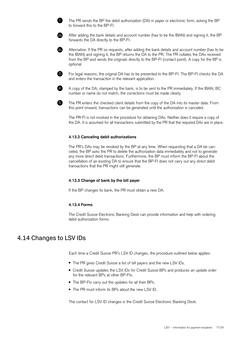



2b

<span id="page-16-0"></span>1

After adding the bank details and account number (has to be the IBAN) and signing it, the BP forwards the DA directly to the BP-FI.

Alternative: If the PR so requests, after adding the bank details and account number (has to be the IBAN) and signing it, the BP returns the DA to the PR. The PR collates the DAs received from the BP and sends the originals directly to the BP-FI (contact point). A copy for the BP is optional.



For legal reasons, the original DA has to be presented to the BP-FI. The BP-FI checks the DA and enters the transaction in the relevant application.



A copy of the DA, stamped by the bank, is to be sent to the PR immediately. If the IBAN, BC number or name do not match, the corrections must be made clearly.

5

The PR enters the checked client details from the copy of the DA into its master data. From this point onward, transactions can be generated until the authorization is canceled.

The PR-FI is not involved in the procedure for obtaining DAs. Neither does it require a copy of the DA. It is assumed for all transactions submitted by the PR that the required DAs are in place.

#### **4.13.2 Canceling debit authorizations**

The PR's DAs may be revoked by the BP at any time. When requesting that a DA be canceled, the BP asks the PR to delete the authorization data immediately and not to generate any more direct debit transactions. Furthermore, the BP must inform the BP-FI about the cancellation of an existing DA to ensure that the BP-FI does not carry out any direct debit transactions that the PR might still generate.

#### **4.13.3 Change of bank by the bill payer**

If the BP changes its bank, the PR must obtain a new DA.

#### **4.13.4 Forms**

The Credit Suisse Electronic Banking Desk can provide information and help with ordering debit authorization forms.

### 4.14 Changes to LSV IDs

Each time a Credit Suisse PR's LSV ID changes, the procedure outlined below applies:

- The PR gives Credit Suisse a list of bill payers and the new LSV IDs.
- Credit Suisse updates the LSV IDs for Credit Suisse BPs and produces an update order for the relevant BPs at other BP-FIs.
- The BP-FIs carry out the updates for all their BPs.
- The PR must inform its BPs about the new LSV ID.

The contact for LSV ID changes is the Credit Suisse Electronic Banking Desk.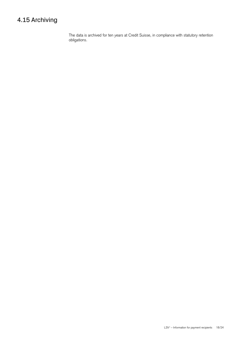## <span id="page-17-0"></span>4.15 Archiving

The data is archived for ten years at Credit Suisse, in compliance with statutory retention obligations.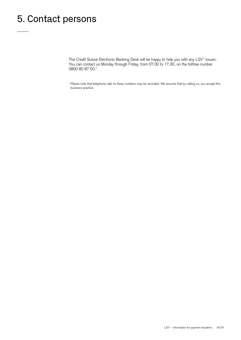## <span id="page-18-0"></span>5. Contact persons

The Credit Suisse Electronic Banking Desk will be happy to help you with any LSV<sup>+</sup> issues. You can contact us Monday through Friday, from 07:30 to 17:30, on the tollfree number 0800 80 87 50.\*

\* Please note that telephone calls to these numbers may be recorded. We assume that by calling us, you accept this business practice.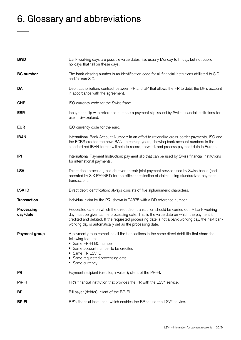## <span id="page-19-0"></span>6. Glossary and abbreviations

| <b>BWD</b>             | Bank working days are possible value dates, i.e. usually Monday to Friday, but not public<br>holidays that fall on these days.                                                                                                                                                                                                                        |
|------------------------|-------------------------------------------------------------------------------------------------------------------------------------------------------------------------------------------------------------------------------------------------------------------------------------------------------------------------------------------------------|
| <b>BC</b> number       | The bank clearing number is an identification code for all financial institutions affiliated to SIC<br>and/or euroSIC.                                                                                                                                                                                                                                |
| DA                     | Debit authorization: contract between PR and BP that allows the PR to debit the BP's account<br>in accordance with the agreement.                                                                                                                                                                                                                     |
| <b>CHF</b>             | ISO currency code for the Swiss franc.                                                                                                                                                                                                                                                                                                                |
| <b>ESR</b>             | Inpayment slip with reference number: a payment slip issued by Swiss financial institutions for<br>use in Switzerland.                                                                                                                                                                                                                                |
| <b>EUR</b>             | ISO currency code for the euro.                                                                                                                                                                                                                                                                                                                       |
| <b>IBAN</b>            | International Bank Account Number: In an effort to rationalize cross-border payments, ISO and<br>the ECBS created the new IBAN. In coming years, showing bank account numbers in the<br>standardized IBAN format will help to record, forward, and process payment data in Europe.                                                                    |
| IPI                    | International Payment Instruction: payment slip that can be used by Swiss financial institutions<br>for international payments.                                                                                                                                                                                                                       |
| <b>LSV</b>             | Direct debit process (Lastschriftverfahren): joint payment service used by Swiss banks (and<br>operated by SIX PAYNET) for the efficient collection of claims using standardized payment<br>transactions.                                                                                                                                             |
| <b>LSV ID</b>          | Direct debit identification: always consists of five alphanumeric characters.                                                                                                                                                                                                                                                                         |
| <b>Transaction</b>     | Individual claim by the PR, shown in TA875 with a DD reference number.                                                                                                                                                                                                                                                                                |
| Processing<br>day/date | Requested date on which the direct debit transaction should be carried out. A bank working<br>day must be given as the processing date. This is the value date on which the payment is<br>credited and debited. If the requested processing date is not a bank working day, the next bank<br>working day is automatically set as the processing date. |
| Payment group          | A payment group comprises all the transactions in the same direct debit file that share the<br>following features:<br>Same PR-FI BC number<br>Same account number to be credited<br>Same PR LSV ID<br>Same requested processing date<br>• Same currency                                                                                               |
| <b>PR</b>              | Payment recipient (creditor, invoicer); client of the PR-FI.                                                                                                                                                                                                                                                                                          |
| <b>PR-FI</b>           | PR's financial institution that provides the PR with the LSV <sup>+</sup> service.                                                                                                                                                                                                                                                                    |
| BP                     | Bill payer (debtor); client of the BP-FI.                                                                                                                                                                                                                                                                                                             |
| <b>BP-FI</b>           | BP's financial institution, which enables the BP to use the LSV <sup>+</sup> service.                                                                                                                                                                                                                                                                 |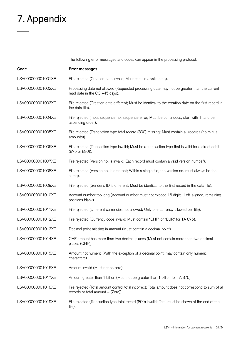## <span id="page-20-0"></span>7. Appendix

The following error messages and codes can appear in the processing protocol:

| Code              | Error messages                                                                                                                              |
|-------------------|---------------------------------------------------------------------------------------------------------------------------------------------|
| LSV000000001001XE | File rejected (Creation date invalid; Must contain a valid date).                                                                           |
| LSV000000001002XE | Processing date not allowed (Requested processing date may not be greater than the current<br>read date in the $CC +45$ days).              |
| LSV000000001003XE | File rejected (Creation date different; Must be identical to the creation date on the first record in<br>the data file).                    |
| LSV000000001004XE | File rejected (Input sequence no. sequence error; Must be continuous, start with 1, and be in<br>ascending order).                          |
| LSV000000001005XE | File rejected (Transaction type total record (890) missing; Must contain all records (no minus<br>amounts)).                                |
| LSV000000001006XE | File rejected (Transaction type invalid; Must be a transaction type that is valid for a direct debit<br>(875 or 890)).                      |
| LSV000000001007XE | File rejected (Version no. is invalid; Each record must contain a valid version number).                                                    |
| LSV000000001008XE | File rejected (Version no. is different; Within a single file, the version no. must always be the<br>same).                                 |
| LSV000000001009XE | File rejected (Sender's ID is different; Must be identical to the first record in the data file).                                           |
| LSV000000001010XE | Account number too long (Account number must not exceed 16 digits; Left-aligned, remaining<br>positions blank).                             |
| LSV000000001011XE | File rejected (Different currencies not allowed; Only one currency allowed per file).                                                       |
| LSV000000001012XE | File rejected (Currency code invalid; Must contain "CHF" or "EUR" for TA 875).                                                              |
| LSV000000001013XE | Decimal point missing in amount (Must contain a decimal point).                                                                             |
| LSV000000001014XE | CHF amount has more than two decimal places (Must not contain more than two decimal<br>places (CHF)).                                       |
| LSV000000001015XE | Amount not numeric (With the exception of a decimal point, may contain only numeric<br>characters).                                         |
| LSV000000001016XE | Amount invalid (Must not be zero).                                                                                                          |
| LSV000000001017XE | Amount greater than 1 billion (Must not be greater than 1 billion for TA 875).                                                              |
| LSV000000001018XE | File rejected (Total amount control total incorrect; Total amount does not correspond to sum of all<br>records or total amount $=$ (Zero)). |
| LSV000000001019XE | File rejected (Transaction type total record (890) invalid; Total must be shown at the end of the<br>file).                                 |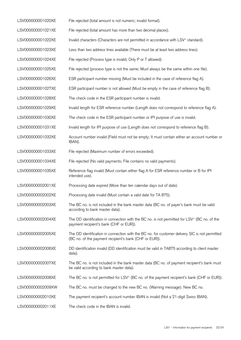| LSV000000001020XE | File rejected (total amount is not numeric; invalid format).                                                                                             |
|-------------------|----------------------------------------------------------------------------------------------------------------------------------------------------------|
| LSV000000001021XE | File rejected (total amount has more than two decimal places).                                                                                           |
| LSV000000001022XE | Invalid characters (Characters are not permitted in accordance with LSV <sup>+</sup> standard).                                                          |
| LSV000000001023XE | Less than two address lines available (There must be at least two address lines).                                                                        |
| LSV000000001024XE | File rejected (Process type is invalid; Only P or T allowed).                                                                                            |
| LSV000000001025XE | File rejected (process type is not the same; Must always be the same within one file).                                                                   |
| LSV000000001026XE | ESR participant number missing (Must be included in the case of reference flag A).                                                                       |
| LSV000000001027XE | ESR participant number is not allowed (Must be empty in the case of reference flag B).                                                                   |
| LSV000000001028XE | The check code in the ESR participant number is invalid.                                                                                                 |
| LSV000000001029XE | Invalid length for ESR reference number (Length does not correspond to reference flag A).                                                                |
| LSV000000001030XE | The check code in the ESR participant number or IPI purpose of use is invalid.                                                                           |
| LSV000000001031XE | Invalid length for IPI purpose of use (Length does not correspond to reference flag B).                                                                  |
| LSV000000001032XE | Account number invalid (Field must not be empty; It must contain either an account number or<br>IBAN).                                                   |
| LSV000000001033XE | File rejected (Maximum number of errors exceeded).                                                                                                       |
| LSV000000001034XE | File rejected (No valid payments; File contains no valid payments).                                                                                      |
| LSV000000001035XE | Reference flag invalid (Must contain either flag A for ESR reference number or B for IPI<br>intended use).                                               |
| LSV000000002001XE | Processing date expired (More than ten calendar days out of date).                                                                                       |
| LSV000000002002XE | Processing date invalid (Must contain a valid date for TA 875).                                                                                          |
| LSV000000002003XE | The BC no. is not included in the bank master data (BC no. of payer's bank must be valid<br>according to bank master data).                              |
| LSV000000002004XE | The DD identification in connection with the BC no. is not permitted for LSV <sup>+</sup> (BC no. of the<br>payment recipient's bank (CHF or EUR)).      |
| LSV000000002005XE | The DD identification in connection with the BC no. for customer delivery SIC is not permitted<br>(BC no. of the payment recipient's bank (CHF or EUR)). |
| LSV000000002006XE | DD identification invalid (DD identification must be valid in TA875 according to client master<br>data).                                                 |
| LSV000000002007XE | The BC no. is not included in the bank master data (BC no. of payment recipient's bank must<br>be valid according to bank master data).                  |
| LSV000000002008XE | The BC no. is not permitted for LSV <sup>+</sup> (BC no. of the payment recipient's bank (CHF or EUR)).                                                  |
| LSV000000002009XW | The BC no. must be changed to the new BC no. (Warning message). New BC no.                                                                               |
| LSV000000002010XE | The payment recipient's account number IBAN is invalid (Not a 21-digit Swiss IBAN).                                                                      |
| LSV000000002011XE | The check code in the IBAN is invalid.                                                                                                                   |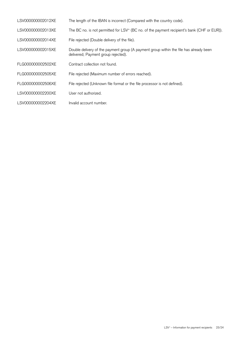| LSV000000002012XE | The length of the IBAN is incorrect (Compared with the country code).                                                         |
|-------------------|-------------------------------------------------------------------------------------------------------------------------------|
| LSV000000002013XE | The BC no. is not permitted for LSV <sup>+</sup> (BC no. of the payment recipient's bank (CHF or EUR)).                       |
| LSV000000002014XE | File rejected (Double delivery of the file).                                                                                  |
| LSV000000002015XE | Double delivery of the payment group (A payment group within the file has already been<br>delivered; Payment group rejected). |
| FLG000000002502XE | Contract collection not found.                                                                                                |
| FLG000000002505XE | File rejected (Maximum number of errors reached).                                                                             |
| FLG000000002506XE | File rejected (Unknown file format or the file processor is not defined).                                                     |
| LSV000000002200XE | User not authorized.                                                                                                          |
| LSV000000002204XE | Invalid account number.                                                                                                       |